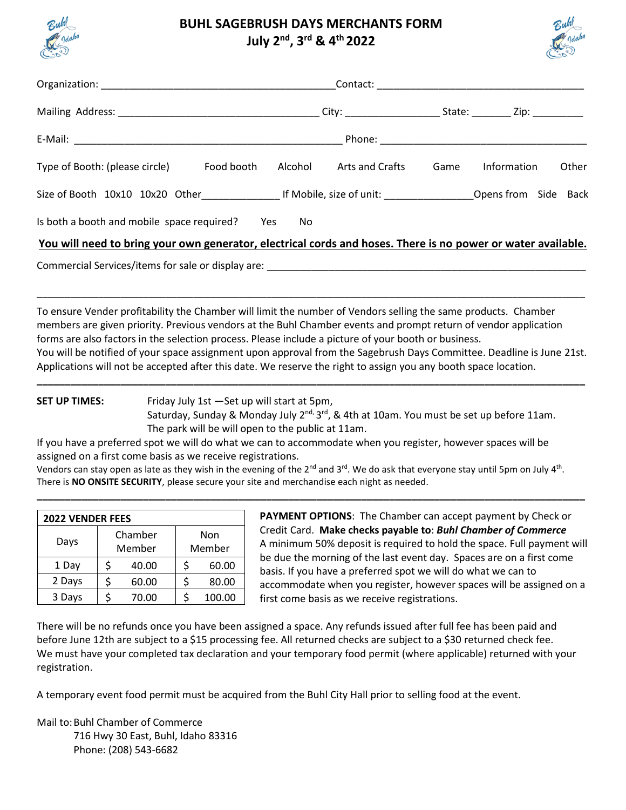

## **BUHL SAGEBRUSH DAYS MERCHANTS FORM July 2 nd , 3 rd & 4th 2022**



| CARD                                       |         | JUIY 4 J J CAT LULL |      |             | <b>REA</b> |
|--------------------------------------------|---------|---------------------|------|-------------|------------|
|                                            |         |                     |      |             |            |
|                                            |         |                     |      |             |            |
|                                            |         |                     |      |             |            |
| Type of Booth: (please circle) Food booth  | Alcohol | Arts and Crafts     | Game | Information | Other      |
|                                            |         |                     |      |             |            |
| Is both a booth and mobile space required? | Yes     | No                  |      |             |            |

**You will need to bring your own generator, electrical cords and hoses. There is no power or water available.**

\_\_\_\_\_\_\_\_\_\_\_\_\_\_\_\_\_\_\_\_\_\_\_\_\_\_\_\_\_\_\_\_\_\_\_\_\_\_\_\_\_\_\_\_\_\_\_\_\_\_\_\_\_\_\_\_\_\_\_\_\_\_\_\_\_\_\_\_\_\_\_\_\_\_\_\_\_\_\_\_\_\_\_\_\_\_\_\_\_\_\_\_\_\_\_\_\_\_

Commercial Services/items for sale or display are:

To ensure Vender profitability the Chamber will limit the number of Vendors selling the same products. Chamber members are given priority. Previous vendors at the Buhl Chamber events and prompt return of vendor application forms are also factors in the selection process. Please include a picture of your booth or business. You will be notified of your space assignment upon approval from the Sagebrush Days Committee. Deadline is June 21st.

**\_\_\_\_\_\_\_\_\_\_\_\_\_\_\_\_\_\_\_\_\_\_\_\_\_\_\_\_\_\_\_\_\_\_\_\_\_\_\_\_\_\_\_\_\_\_\_\_\_\_\_\_\_\_\_\_\_\_\_\_\_\_\_\_\_\_\_\_\_\_\_\_\_\_\_\_\_\_\_\_\_\_\_\_\_\_\_\_\_\_\_\_\_\_\_\_\_\_**

Applications will not be accepted after this date. We reserve the right to assign you any booth space location.

**SET UP TIMES:** Friday July 1st —Set up will start at 5pm,

Saturday, Sunday & Monday July 2<sup>nd,</sup> 3<sup>rd</sup>, & 4th at 10am. You must be set up before 11am. The park will be will open to the public at 11am.

If you have a preferred spot we will do what we can to accommodate when you register, however spaces will be assigned on a first come basis as we receive registrations.

Vendors can stay open as late as they wish in the evening of the 2<sup>nd</sup> and 3<sup>rd</sup>. We do ask that everyone stay until 5pm on July 4<sup>th</sup>. There is **NO ONSITE SECURITY**, please secure your site and merchandise each night as needed.

**\_\_\_\_\_\_\_\_\_\_\_\_\_\_\_\_\_\_\_\_\_\_\_\_\_\_\_\_\_\_\_\_\_\_\_\_\_\_\_\_\_\_\_\_\_\_\_\_\_\_\_\_\_\_\_\_\_\_\_\_\_\_\_\_\_\_\_\_\_\_\_\_\_\_\_\_\_\_\_\_\_\_\_\_\_\_\_\_\_\_\_\_\_\_\_\_\_\_**

| <b>2022 VENDER FEES</b> |                   |       |               |        |  |  |  |
|-------------------------|-------------------|-------|---------------|--------|--|--|--|
| Days                    | Chamber<br>Member |       | Non<br>Member |        |  |  |  |
| 1 Day                   |                   | 40.00 |               | 60.00  |  |  |  |
| 2 Days                  |                   | 60.00 |               | 80.00  |  |  |  |
| 3 Days                  |                   | 70.00 |               | 100.00 |  |  |  |

**PAYMENT OPTIONS**: The Chamber can accept payment by Check or Credit Card. **Make checks payable to**: *Buhl Chamber of Commerce* A minimum 50% deposit is required to hold the space. Full payment will be due the morning of the last event day. Spaces are on a first come basis. If you have a preferred spot we will do what we can to accommodate when you register, however spaces will be assigned on a first come basis as we receive registrations.

There will be no refunds once you have been assigned a space. Any refunds issued after full fee has been paid and before June 12th are subject to a \$15 processing fee. All returned checks are subject to a \$30 returned check fee. We must have your completed tax declaration and your temporary food permit (where applicable) returned with your registration.

A temporary event food permit must be acquired from the Buhl City Hall prior to selling food at the event.

Mail to:Buhl Chamber of Commerce 716 Hwy 30 East, Buhl, Idaho 83316 Phone: (208) 543-6682